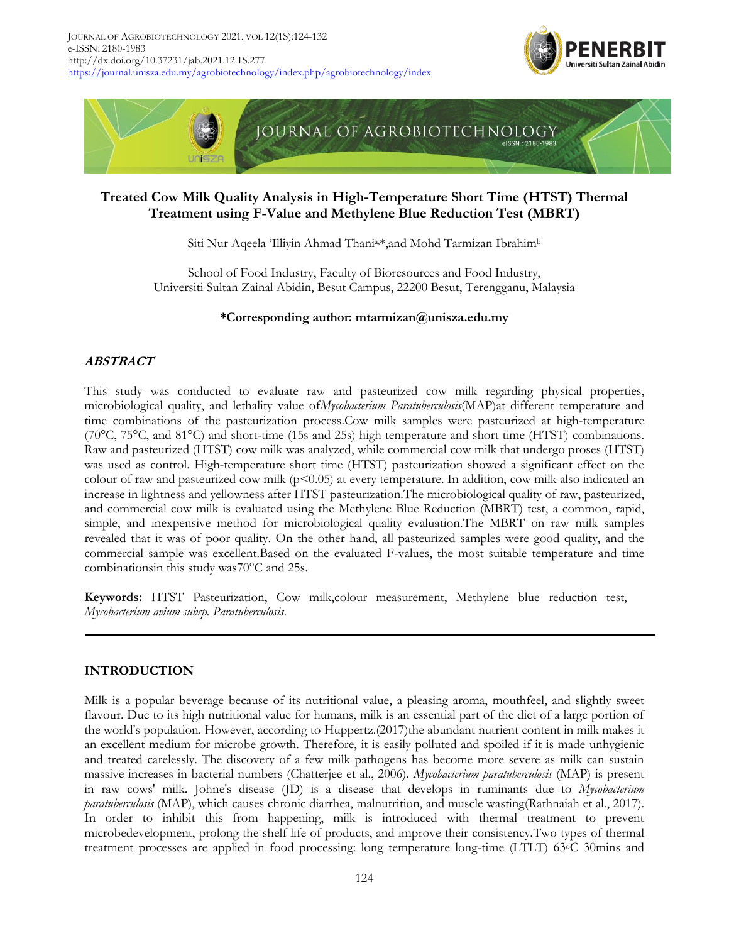



# **Treated Cow Milk Quality Analysis in High-Temperature Short Time (HTST) Thermal Treatment using F-Value and Methylene Blue Reduction Test (MBRT)**

Siti Nur Aqeela 'Illiyin Ahmad Thania,\*,and Mohd Tarmizan Ibrahim<sup>b</sup>

School of Food Industry, Faculty of Bioresources and Food Industry, Universiti Sultan Zainal Abidin, Besut Campus, 22200 Besut, Terengganu, Malaysia

## **\*Corresponding author: mtarmizan@unisza.edu.my**

## **ABSTRACT**

This study was conducted to evaluate raw and pasteurized cow milk regarding physical properties, microbiological quality, and lethality value of*Mycobacterium Paratuberculosis*(MAP)at different temperature and time combinations of the pasteurization process.Cow milk samples were pasteurized at high-temperature (70°C, 75°C, and 81°C) and short-time (15s and 25s) high temperature and short time (HTST) combinations. Raw and pasteurized (HTST) cow milk was analyzed, while commercial cow milk that undergo proses (HTST) was used as control. High-temperature short time (HTST) pasteurization showed a significant effect on the colour of raw and pasteurized cow milk ( $p<0.05$ ) at every temperature. In addition, cow milk also indicated an increase in lightness and yellowness after HTST pasteurization.The microbiological quality of raw, pasteurized, and commercial cow milk is evaluated using the Methylene Blue Reduction (MBRT) test, a common, rapid, simple, and inexpensive method for microbiological quality evaluation.The MBRT on raw milk samples revealed that it was of poor quality. On the other hand, all pasteurized samples were good quality, and the commercial sample was excellent.Based on the evaluated F-values, the most suitable temperature and time combinationsin this study was70°C and 25s.

**Keywords:** HTST Pasteurization, Cow milk,colour measurement, Methylene blue reduction test, *Mycobacterium avium subsp. Paratuberculosis*.

## **INTRODUCTION**

Milk is a popular beverage because of its nutritional value, a pleasing aroma, mouthfeel, and slightly sweet flavour. Due to its high nutritional value for humans, milk is an essential part of the diet of a large portion of the world's population. However, according to Huppertz.(2017)the abundant nutrient content in milk makes it an excellent medium for microbe growth. Therefore, it is easily polluted and spoiled if it is made unhygienic and treated carelessly. The discovery of a few milk pathogens has become more severe as milk can sustain massive increases in bacterial numbers (Chatterjee et al., 2006). *Mycobacterium paratuberculosis* (MAP) is present in raw cows' milk. Johne's disease (JD) is a disease that develops in ruminants due to *Mycobacterium paratuberculosis* (MAP), which causes chronic diarrhea, malnutrition, and muscle wasting(Rathnaiah et al., 2017). In order to inhibit this from happening, milk is introduced with thermal treatment to prevent microbedevelopment, prolong the shelf life of products, and improve their consistency.Two types of thermal treatment processes are applied in food processing: long temperature long-time (LTLT) 63oC 30mins and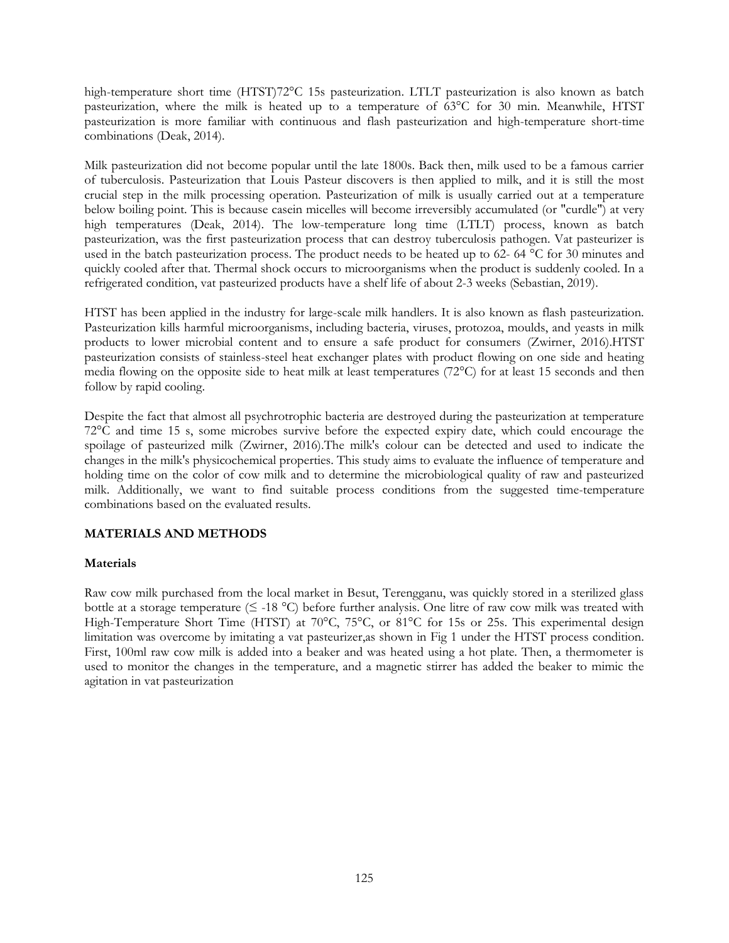high-temperature short time (HTST)72°C 15s pasteurization. LTLT pasteurization is also known as batch pasteurization, where the milk is heated up to a temperature of 63°C for 30 min. Meanwhile, HTST pasteurization is more familiar with continuous and flash pasteurization and high-temperature short-time combinations (Deak, 2014).

Milk pasteurization did not become popular until the late 1800s. Back then, milk used to be a famous carrier of tuberculosis. Pasteurization that Louis Pasteur discovers is then applied to milk, and it is still the most crucial step in the milk processing operation. Pasteurization of milk is usually carried out at a temperature below boiling point. This is because casein micelles will become irreversibly accumulated (or "curdle") at very high temperatures (Deak, 2014). The low-temperature long time (LTLT) process, known as batch pasteurization, was the first pasteurization process that can destroy tuberculosis pathogen. Vat pasteurizer is used in the batch pasteurization process. The product needs to be heated up to 62- 64 °C for 30 minutes and quickly cooled after that. Thermal shock occurs to microorganisms when the product is suddenly cooled. In a refrigerated condition, vat pasteurized products have a shelf life of about 2-3 weeks (Sebastian, 2019).

HTST has been applied in the industry for large-scale milk handlers. It is also known as flash pasteurization. Pasteurization kills harmful microorganisms, including bacteria, viruses, protozoa, moulds, and yeasts in milk products to lower microbial content and to ensure a safe product for consumers (Zwirner, 2016).HTST pasteurization consists of stainless-steel heat exchanger plates with product flowing on one side and heating media flowing on the opposite side to heat milk at least temperatures (72°C) for at least 15 seconds and then follow by rapid cooling.

Despite the fact that almost all psychrotrophic bacteria are destroyed during the pasteurization at temperature 72°C and time 15 s, some microbes survive before the expected expiry date, which could encourage the spoilage of pasteurized milk (Zwirner, 2016).The milk's colour can be detected and used to indicate the changes in the milk's physicochemical properties. This study aims to evaluate the influence of temperature and holding time on the color of cow milk and to determine the microbiological quality of raw and pasteurized milk. Additionally, we want to find suitable process conditions from the suggested time-temperature combinations based on the evaluated results.

## **MATERIALS AND METHODS**

## **Materials**

Raw cow milk purchased from the local market in Besut, Terengganu, was quickly stored in a sterilized glass bottle at a storage temperature ( $\leq$  -18 °C) before further analysis. One litre of raw cow milk was treated with High-Temperature Short Time (HTST) at 70°C, 75°C, or 81°C for 15s or 25s. This experimental design limitation was overcome by imitating a vat pasteurizer,as shown in Fig 1 under the HTST process condition. First, 100ml raw cow milk is added into a beaker and was heated using a hot plate. Then, a thermometer is used to monitor the changes in the temperature, and a magnetic stirrer has added the beaker to mimic the agitation in vat pasteurization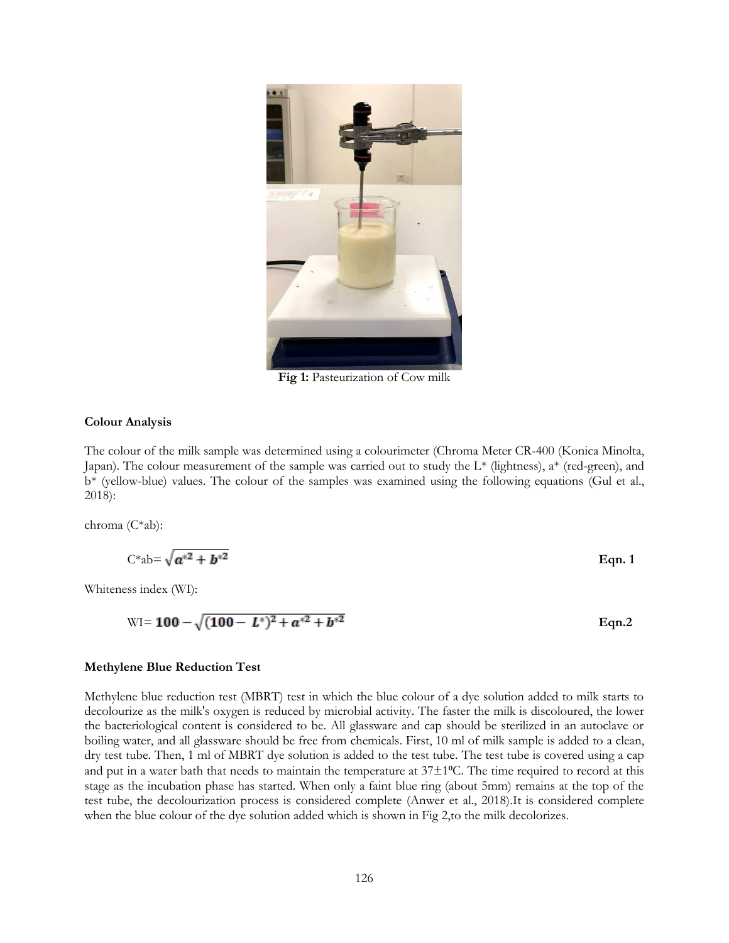

**Fig 1:** Pasteurization of Cow milk

#### **Colour Analysis**

The colour of the milk sample was determined using a colourimeter (Chroma Meter CR-400 (Konica Minolta, Japan). The colour measurement of the sample was carried out to study the  $L^*$  (lightness),  $a^*$  (red-green), and b\* (yellow-blue) values. The colour of the samples was examined using the following equations (Gul et al., 2018):

chroma (C\*ab):

$$
C^*ab = \sqrt{a^{*2} + b^{*2}}
$$
 Eqn. 1

Whiteness index (WI):

$$
WI = 100 - \sqrt{(100 - L^*)^2 + a^{*2} + b^{*2}}
$$
 Eqn.2

### **Methylene Blue Reduction Test**

Methylene blue reduction test (MBRT) test in which the blue colour of a dye solution added to milk starts to decolourize as the milk's oxygen is reduced by microbial activity. The faster the milk is discoloured, the lower the bacteriological content is considered to be. All glassware and cap should be sterilized in an autoclave or boiling water, and all glassware should be free from chemicals. First, 10 ml of milk sample is added to a clean, dry test tube. Then, 1 ml of MBRT dye solution is added to the test tube. The test tube is covered using a cap and put in a water bath that needs to maintain the temperature at  $37\pm1$ <sup>o</sup>C. The time required to record at this stage as the incubation phase has started. When only a faint blue ring (about 5mm) remains at the top of the test tube, the decolourization process is considered complete (Anwer et al., 2018).It is considered complete when the blue colour of the dye solution added which is shown in Fig 2, to the milk decolorizes.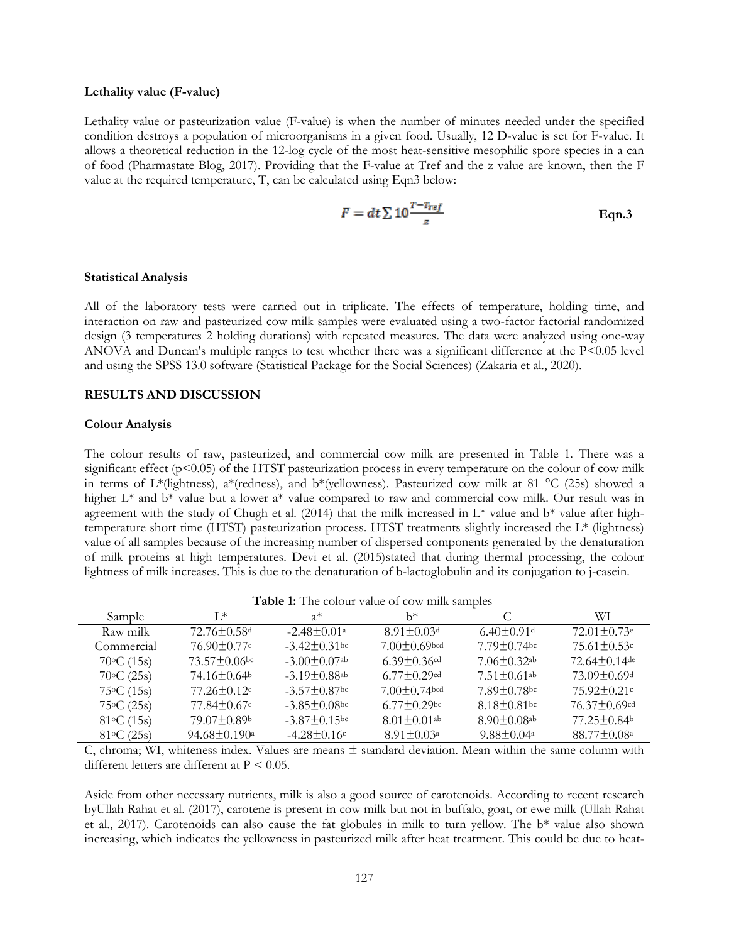### **Lethality value (F-value)**

Lethality value or pasteurization value (F-value) is when the number of minutes needed under the specified condition destroys a population of microorganisms in a given food. Usually, 12 D-value is set for F-value. It allows a theoretical reduction in the 12-log cycle of the most heat-sensitive mesophilic spore species in a can of food (Pharmastate Blog, 2017). Providing that the F-value at Tref and the z value are known, then the F value at the required temperature, T, can be calculated using Eqn3 below:

$$
F = dt \sum 10 \frac{T - T_{ref}}{z}
$$
 Eqn.3

#### **Statistical Analysis**

All of the laboratory tests were carried out in triplicate. The effects of temperature, holding time, and interaction on raw and pasteurized cow milk samples were evaluated using a two-factor factorial randomized design (3 temperatures 2 holding durations) with repeated measures. The data were analyzed using one-way ANOVA and Duncan's multiple ranges to test whether there was a significant difference at the P<0.05 level and using the SPSS 13.0 software (Statistical Package for the Social Sciences) (Zakaria et al., 2020).

### **RESULTS AND DISCUSSION**

### **Colour Analysis**

The colour results of raw, pasteurized, and commercial cow milk are presented in Table 1. There was a significant effect (p<0.05) of the HTST pasteurization process in every temperature on the colour of cow milk in terms of L\*(lightness), a\*(redness), and b\*(yellowness). Pasteurized cow milk at 81 °C (25s) showed a higher  $L^*$  and  $b^*$  value but a lower a<sup>\*</sup> value compared to raw and commercial cow milk. Our result was in agreement with the study of Chugh et al. (2014) that the milk increased in  $L^*$  value and  $b^*$  value after hightemperature short time (HTST) pasteurization process. HTST treatments slightly increased the L\* (lightness) value of all samples because of the increasing number of dispersed components generated by the denaturation of milk proteins at high temperatures. Devi et al. (2015)stated that during thermal processing, the colour lightness of milk increases. This is due to the denaturation of b-lactoglobulin and its conjugation to j-casein.

| <b>Table 1:</b> The colour value of cow think samples |                                |                                |                               |                               |                               |  |
|-------------------------------------------------------|--------------------------------|--------------------------------|-------------------------------|-------------------------------|-------------------------------|--|
| Sample                                                | $\mathbf{I}^*$                 | $a^*$                          | h*                            |                               | WT.                           |  |
| Raw milk                                              | $72.76 \pm 0.58$ <sup>d</sup>  | $-2.48 \pm 0.01^{\circ}$       | $8.91 \pm 0.03$ d             | $6.40 \pm 0.91$ <sup>d</sup>  | $72.01 \pm 0.73$ <sup>e</sup> |  |
| Commercial                                            | $76.90 \pm 0.77$ c             | $-3.42 \pm 0.31$ <sub>bc</sub> | $7.00 \pm 0.69$ bcd           | $7.79 \pm 0.74$ bc            | $75.61 \pm 0.53$ c            |  |
| $70^{\circ}C(15s)$                                    | $73.57 \pm 0.06$ bc            | $-3.00 \pm 0.07$ <sup>ab</sup> | $6.39 \pm 0.36$ <sup>cd</sup> | $7.06 \pm 0.32$ <sup>ab</sup> | $72.64 \pm 0.14$ de           |  |
| $70^{\circ}$ C (25s)                                  | 74.16±0.64 <sup>b</sup>        | $-3.19 \pm 0.88$ <sup>ab</sup> | $6.77 \pm 0.29$ cd            | $7.51 \pm 0.61$ <sup>ab</sup> | $73.09 \pm 0.69$ <sup>d</sup> |  |
| $75\textdegree C (15s)$                               | $77.26 \pm 0.12$ c             | $-3.57 \pm 0.87$ bc            | $7.00 \pm 0.74$ bcd           | $7.89 \pm 0.78$ bc            | $75.92 \pm 0.21$ c            |  |
| $75\textdegree C (25s)$                               | $77.84 \pm 0.67$ c             | $-3.85\pm0.08$ bc              | $6.77 \pm 0.29$ bc            | $8.18 \pm 0.81$ bc            | $76.37 \pm 0.69$ cd           |  |
| $81^{\circ}C(15s)$                                    | 79.07±0.89b                    | $-3.87 \pm 0.15$ bc            | $8.01 \pm 0.01$ <sup>ab</sup> | $8.90 \pm 0.08$ <sub>ab</sub> | $77.25 \pm 0.84$              |  |
| $81^{\circ}C(25s)$                                    | $94.68 \pm 0.190$ <sup>a</sup> | $-4.28 \pm 0.16$ c             | $8.91 \pm 0.03$ <sup>a</sup>  | $9.88 \pm 0.04$ <sup>a</sup>  | $88.77 \pm 0.08^{\circ}$      |  |

**Table 1:** The colour value of cow milk samples

C, chroma; WI, whiteness index. Values are means ± standard deviation. Mean within the same column with different letters are different at P < 0.05.

Aside from other necessary nutrients, milk is also a good source of carotenoids. According to recent research byUllah Rahat et al. (2017), carotene is present in cow milk but not in buffalo, goat, or ewe milk (Ullah Rahat et al., 2017). Carotenoids can also cause the fat globules in milk to turn yellow. The b\* value also shown increasing, which indicates the yellowness in pasteurized milk after heat treatment. This could be due to heat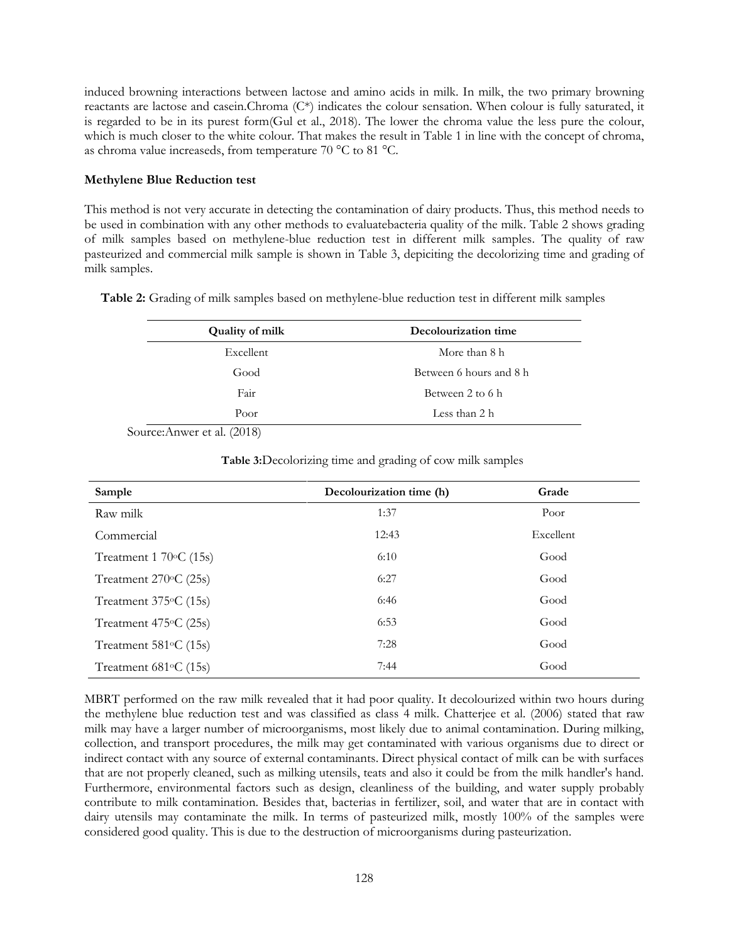induced browning interactions between lactose and amino acids in milk. In milk, the two primary browning reactants are lactose and casein.Chroma (C\*) indicates the colour sensation. When colour is fully saturated, it is regarded to be in its purest form(Gul et al., 2018). The lower the chroma value the less pure the colour, which is much closer to the white colour. That makes the result in Table 1 in line with the concept of chroma, as chroma value increaseds, from temperature 70 °C to 81 °C.

## **Methylene Blue Reduction test**

This method is not very accurate in detecting the contamination of dairy products. Thus, this method needs to be used in combination with any other methods to evaluatebacteria quality of the milk. Table 2 shows grading of milk samples based on methylene-blue reduction test in different milk samples. The quality of raw pasteurized and commercial milk sample is shown in Table 3, depiciting the decolorizing time and grading of milk samples.

**Table 2:** Grading of milk samples based on methylene-blue reduction test in different milk samples

| <b>Quality of milk</b> | Decolourization time    |  |  |
|------------------------|-------------------------|--|--|
| Excellent              | More than 8 h           |  |  |
| Good                   | Between 6 hours and 8 h |  |  |
| Fair                   | Between 2 to 6 h        |  |  |
| Poor                   | Less than 2 h           |  |  |

Source:Anwer et al. (2018)

**Table 3:**Decolorizing time and grading of cow milk samples

| Sample                               | Decolourization time (h) | Grade     |
|--------------------------------------|--------------------------|-----------|
| Raw milk                             | 1:37                     | Poor      |
| Commercial                           | 12:43                    | Excellent |
| Treatment $1\,70\textdegree C$ (15s) | 6:10                     | Good      |
| Treatment $270^{\circ}$ C (25s)      | 6:27                     | Good      |
| Treatment $375^{\circ}$ C (15s)      | 6:46                     | Good      |
| Treatment $475\textdegree$ C (25s)   | 6:53                     | Good      |
| Treatment $581\textdegree$ C (15s)   | 7:28                     | Good      |
| Treatment $681\textdegree$ C (15s)   | 7:44                     | Good      |

MBRT performed on the raw milk revealed that it had poor quality. It decolourized within two hours during the methylene blue reduction test and was classified as class 4 milk. Chatterjee et al. (2006) stated that raw milk may have a larger number of microorganisms, most likely due to animal contamination. During milking, collection, and transport procedures, the milk may get contaminated with various organisms due to direct or indirect contact with any source of external contaminants. Direct physical contact of milk can be with surfaces that are not properly cleaned, such as milking utensils, teats and also it could be from the milk handler's hand. Furthermore, environmental factors such as design, cleanliness of the building, and water supply probably contribute to milk contamination. Besides that, bacterias in fertilizer, soil, and water that are in contact with dairy utensils may contaminate the milk. In terms of pasteurized milk, mostly 100% of the samples were considered good quality. This is due to the destruction of microorganisms during pasteurization.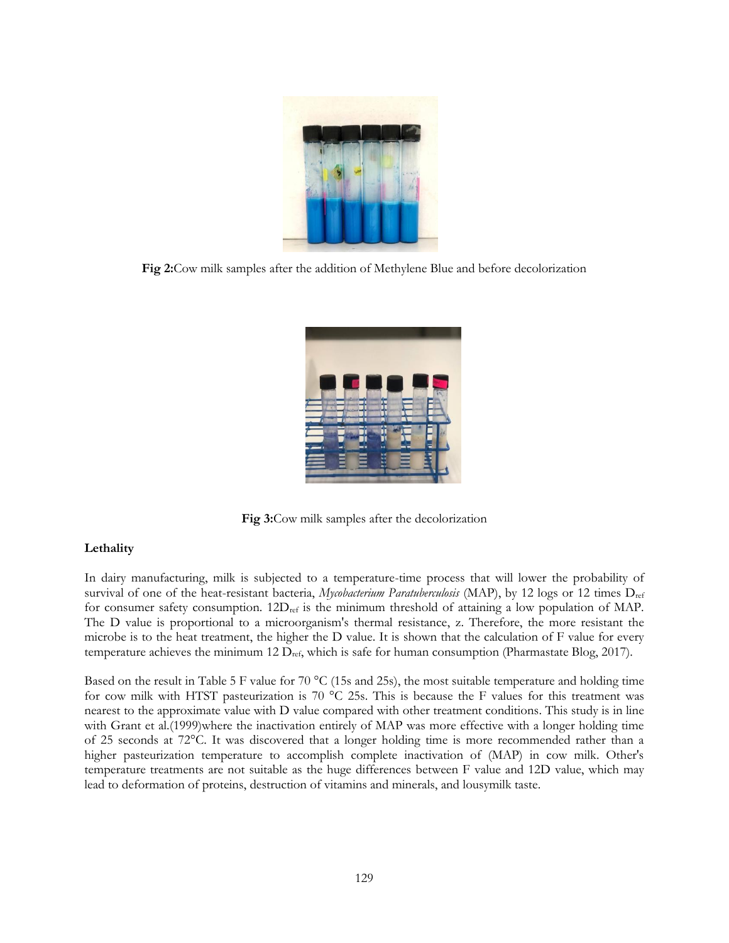

**Fig 2:**Cow milk samples after the addition of Methylene Blue and before decolorization



**Fig 3:**Cow milk samples after the decolorization

## **Lethality**

In dairy manufacturing, milk is subjected to a temperature-time process that will lower the probability of survival of one of the heat-resistant bacteria, *Mycobacterium Paratuberculosis* (MAP), by 12 logs or 12 times Dref for consumer safety consumption.  $12D_{ref}$  is the minimum threshold of attaining a low population of MAP. The D value is proportional to a microorganism's thermal resistance, z. Therefore, the more resistant the microbe is to the heat treatment, the higher the D value. It is shown that the calculation of F value for every temperature achieves the minimum 12 Dref, which is safe for human consumption (Pharmastate Blog, 2017).

Based on the result in Table 5 F value for 70  $^{\circ}$ C (15s and 25s), the most suitable temperature and holding time for cow milk with HTST pasteurization is 70  $\degree$ C 25s. This is because the F values for this treatment was nearest to the approximate value with D value compared with other treatment conditions. This study is in line with Grant et al.(1999)where the inactivation entirely of MAP was more effective with a longer holding time of 25 seconds at 72°C. It was discovered that a longer holding time is more recommended rather than a higher pasteurization temperature to accomplish complete inactivation of (MAP) in cow milk. Other's temperature treatments are not suitable as the huge differences between F value and 12D value, which may lead to deformation of proteins, destruction of vitamins and minerals, and lousymilk taste.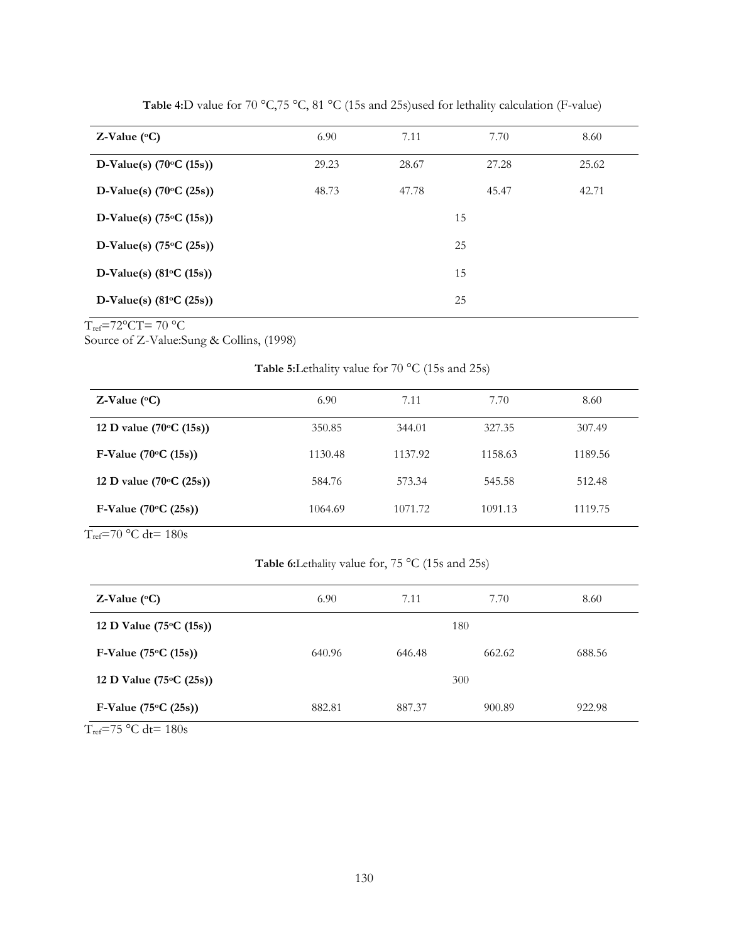| Z-Value $(^{\circ}C)$            | 6.90  | 7.11  | 7.70  | 8.60  |
|----------------------------------|-------|-------|-------|-------|
| D-Value(s) $(70°C (15s))$        | 29.23 | 28.67 | 27.28 | 25.62 |
| D-Value(s) $(70°C (25s))$        | 48.73 | 47.78 | 45.47 | 42.71 |
| D-Value(s) $(75°C (15s))$        |       |       | 15    |       |
| D-Value(s) $(75°C (25s))$        |       |       | 25    |       |
| D-Value(s) $(81^{\circ}C (15s))$ |       |       | 15    |       |
| D-Value(s) $(81°C (25s))$        |       |       | 25    |       |

Table 4:D value for 70 °C,75 °C, 81 °C (15s and 25s)used for lethality calculation (F-value)

 $T_{ref}$ =72°CT=70 °C

Source of Z-Value:Sung & Collins, (1998)

**Table 5:**Lethality value for 70 °C (15s and 25s)

| Z-Value $(^{\circ}C)$            | 6.90    | 7.11    | 7.70    | 8.60    |
|----------------------------------|---------|---------|---------|---------|
| 12 D value $(70\degree C (15s))$ | 350.85  | 344.01  | 327.35  | 307.49  |
| F-Value $(70°C (15s))$           | 1130.48 | 1137.92 | 1158.63 | 1189.56 |
| 12 D value $(70\degree C (25s))$ | 584.76  | 573.34  | 545.58  | 512.48  |
| F-Value $(70°C (25s))$           | 1064.69 | 1071.72 | 1091.13 | 1119.75 |

 $T_{ref}$ =70 °C dt= 180s

**Table 6:**Lethality value for, 75 °C (15s and 25s)

| Z-Value $(^{\circ}C)$                                                                                                                                                                                                                                                                                                                                                                                                                                                                             | 6.90   | 7.11   | 7.70   | 8.60   |
|---------------------------------------------------------------------------------------------------------------------------------------------------------------------------------------------------------------------------------------------------------------------------------------------------------------------------------------------------------------------------------------------------------------------------------------------------------------------------------------------------|--------|--------|--------|--------|
| 12 D Value $(75°C (15s))$                                                                                                                                                                                                                                                                                                                                                                                                                                                                         | 180    |        |        |        |
| F-Value $(75°C (15s))$                                                                                                                                                                                                                                                                                                                                                                                                                                                                            | 640.96 | 646.48 | 662.62 | 688.56 |
| 12 D Value $(75^{\circ}C (25s))$                                                                                                                                                                                                                                                                                                                                                                                                                                                                  | 300    |        |        |        |
| F-Value $(75^{\circ}C (25s))$                                                                                                                                                                                                                                                                                                                                                                                                                                                                     | 882.81 | 887.37 | 900.89 | 922.98 |
| TT.<br>$\blacksquare$ $\blacksquare$ $\blacksquare$ $\blacksquare$ $\blacksquare$ $\blacksquare$ $\blacksquare$ $\blacksquare$ $\blacksquare$ $\blacksquare$ $\blacksquare$ $\blacksquare$ $\blacksquare$ $\blacksquare$ $\blacksquare$ $\blacksquare$ $\blacksquare$ $\blacksquare$ $\blacksquare$ $\blacksquare$ $\blacksquare$ $\blacksquare$ $\blacksquare$ $\blacksquare$ $\blacksquare$ $\blacksquare$ $\blacksquare$ $\blacksquare$ $\blacksquare$ $\blacksquare$ $\blacksquare$ $\blacks$ |        |        |        |        |

 $T_{\text{ref}}$ =75 °C dt= 180s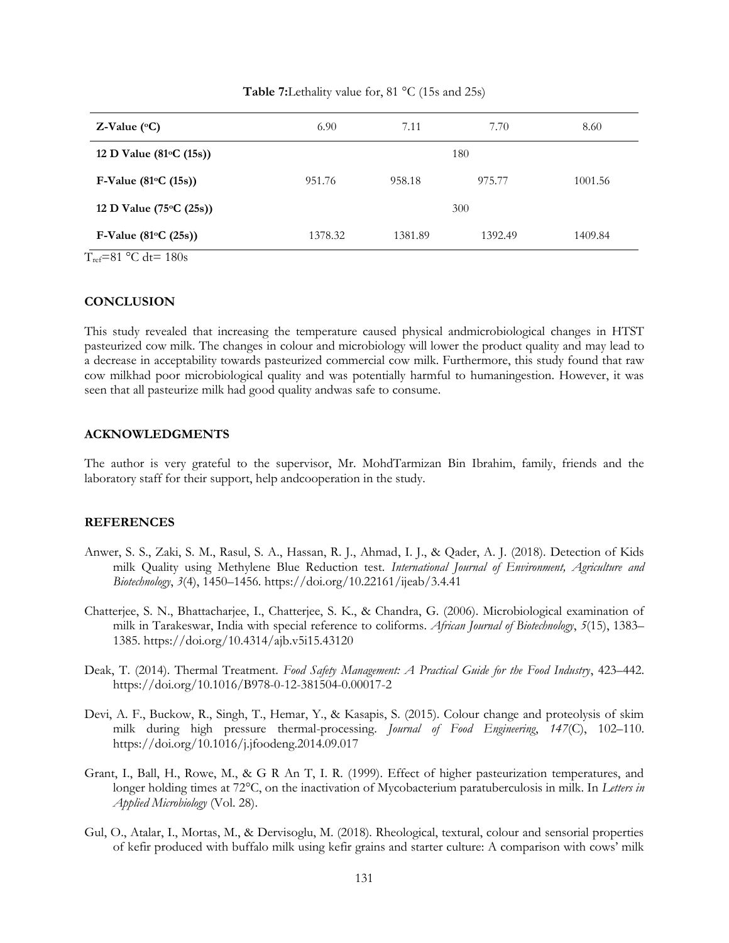| Z-Value $(^{\circ}C)$            | 6.90    | 7.11    | 7.70    | 8.60    |  |
|----------------------------------|---------|---------|---------|---------|--|
| 12 D Value (81 $\circ$ C (15s))  | 180     |         |         |         |  |
| F-Value $(81°C (15s))$           | 951.76  | 958.18  | 975.77  | 1001.56 |  |
| 12 D Value $(75^{\circ}C (25s))$ | 300     |         |         |         |  |
| F-Value $(81°C (25s))$           | 1378.32 | 1381.89 | 1392.49 | 1409.84 |  |

Table 7:Lethality value for, 81 °C (15s and 25s)

 $T_{ref}=81 \text{ °C}$  dt= 180s

### **CONCLUSION**

This study revealed that increasing the temperature caused physical andmicrobiological changes in HTST pasteurized cow milk. The changes in colour and microbiology will lower the product quality and may lead to a decrease in acceptability towards pasteurized commercial cow milk. Furthermore, this study found that raw cow milkhad poor microbiological quality and was potentially harmful to humaningestion. However, it was seen that all pasteurize milk had good quality andwas safe to consume.

### **ACKNOWLEDGMENTS**

The author is very grateful to the supervisor, Mr. MohdTarmizan Bin Ibrahim, family, friends and the laboratory staff for their support, help andcooperation in the study.

#### **REFERENCES**

- Anwer, S. S., Zaki, S. M., Rasul, S. A., Hassan, R. J., Ahmad, I. J., & Qader, A. J. (2018). Detection of Kids milk Quality using Methylene Blue Reduction test. *International Journal of Environment, Agriculture and Biotechnology*, *3*(4), 1450–1456. https://doi.org/10.22161/ijeab/3.4.41
- Chatterjee, S. N., Bhattacharjee, I., Chatterjee, S. K., & Chandra, G. (2006). Microbiological examination of milk in Tarakeswar, India with special reference to coliforms. *African Journal of Biotechnology*, *5*(15), 1383– 1385. https://doi.org/10.4314/ajb.v5i15.43120
- Deak, T. (2014). Thermal Treatment. *Food Safety Management: A Practical Guide for the Food Industry*, 423–442. https://doi.org/10.1016/B978-0-12-381504-0.00017-2
- Devi, A. F., Buckow, R., Singh, T., Hemar, Y., & Kasapis, S. (2015). Colour change and proteolysis of skim milk during high pressure thermal-processing. *Journal of Food Engineering*, *147*(C), 102–110. https://doi.org/10.1016/j.jfoodeng.2014.09.017
- Grant, I., Ball, H., Rowe, M., & G R An T, I. R. (1999). Effect of higher pasteurization temperatures, and longer holding times at 72°C, on the inactivation of Mycobacterium paratuberculosis in milk. In *Letters in Applied Microbiology* (Vol. 28).
- Gul, O., Atalar, I., Mortas, M., & Dervisoglu, M. (2018). Rheological, textural, colour and sensorial properties of kefir produced with buffalo milk using kefir grains and starter culture: A comparison with cows' milk